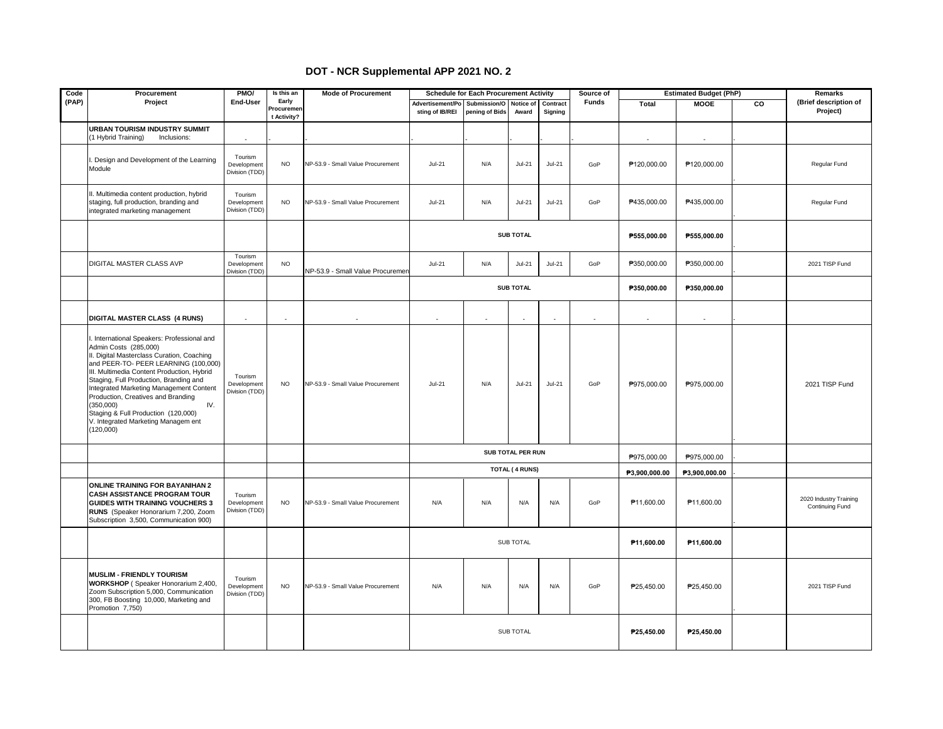## **DOT - NCR Supplemental APP 2021 NO. 2**

| Code  | Procurement                                                                                                                                                                                                                                                                                                                                                                                                                                       | PMO/                                     | Is this an                         | <b>Mode of Procurement</b>        | <b>Schedule for Each Procurement Activity</b><br>Source of |                                          |                       | <b>Estimated Budget (PhP)</b> |              |               | Remarks                  |                |                                           |
|-------|---------------------------------------------------------------------------------------------------------------------------------------------------------------------------------------------------------------------------------------------------------------------------------------------------------------------------------------------------------------------------------------------------------------------------------------------------|------------------------------------------|------------------------------------|-----------------------------------|------------------------------------------------------------|------------------------------------------|-----------------------|-------------------------------|--------------|---------------|--------------------------|----------------|-------------------------------------------|
| (PAP) | Project                                                                                                                                                                                                                                                                                                                                                                                                                                           | End-User                                 | Early<br>Procuremen<br>t Activity? |                                   | Advertisement/Po<br>sting of IB/REI                        | Submission/O Notice of<br>pening of Bids | Award                 | Contract<br>Signing           | <b>Funds</b> | Total         | <b>MOOE</b>              | $\overline{c}$ | (Brief description of<br>Project)         |
|       | URBAN TOURISM INDUSTRY SUMMIT<br>(1 Hybrid Training)<br>Inclusions:                                                                                                                                                                                                                                                                                                                                                                               | $\blacksquare$                           |                                    |                                   |                                                            |                                          |                       |                               |              |               | $\overline{\phantom{a}}$ |                |                                           |
|       | Design and Development of the Learning<br>Module                                                                                                                                                                                                                                                                                                                                                                                                  | Tourism<br>Development<br>Division (TDD) | <b>NO</b>                          | NP-53.9 - Small Value Procurement | $Jul-21$                                                   | N/A                                      | $Jul-21$              | $Jul-21$                      | GoP          | P120,000.00   | P120,000.00              |                | Regular Fund                              |
|       | II. Multimedia content production, hybrid<br>staging, full production, branding and<br>integrated marketing management                                                                                                                                                                                                                                                                                                                            | Tourism<br>Development<br>Division (TDD) | <b>NO</b>                          | NP-53.9 - Small Value Procurement | $Jul-21$                                                   | N/A                                      | $Jul-21$              | $Jul-21$                      | GoP          | P435,000.00   | P435,000.00              |                | Regular Fund                              |
|       |                                                                                                                                                                                                                                                                                                                                                                                                                                                   |                                          |                                    |                                   |                                                            |                                          | <b>SUB TOTAL</b>      |                               |              | P555,000.00   | P555,000.00              |                |                                           |
|       | DIGITAL MASTER CLASS AVP                                                                                                                                                                                                                                                                                                                                                                                                                          | Tourism<br>Development<br>Division (TDD) | <b>NO</b>                          | NP-53.9 - Small Value Procuremen  | $Jul-21$                                                   | N/A                                      | $Jul-21$              | $Jul-21$                      | GoP          | P350,000.00   | P350,000.00              |                | 2021 TISP Fund                            |
|       |                                                                                                                                                                                                                                                                                                                                                                                                                                                   |                                          |                                    |                                   |                                                            |                                          | <b>SUB TOTAL</b>      |                               |              | P350,000.00   | P350,000.00              |                |                                           |
|       | DIGITAL MASTER CLASS (4 RUNS)                                                                                                                                                                                                                                                                                                                                                                                                                     | $\overline{\phantom{a}}$                 |                                    | ÷.                                |                                                            |                                          | ÷,                    |                               | ÷.           |               | $\sim$                   |                |                                           |
|       | . International Speakers: Professional and<br>Admin Costs (285,000)<br>II. Digital Masterclass Curation, Coaching<br>and PEER-TO- PEER LEARNING (100,000)<br>III. Multimedia Content Production, Hybrid<br>Staging, Full Production, Branding and<br>Integrated Marketing Management Content<br>Production, Creatives and Branding<br>(350,000)<br>IV.<br>Staging & Full Production (120,000)<br>V. Integrated Marketing Managem ent<br>(120,000) | Tourism<br>Development<br>Division (TDD) | <b>NO</b>                          | NP-53.9 - Small Value Procurement | $Jul-21$                                                   | N/A                                      | $Jul-21$              | $Jul-21$                      | GoP          | P975,000.00   | P975,000.00              |                | 2021 TISP Fund                            |
|       |                                                                                                                                                                                                                                                                                                                                                                                                                                                   |                                          |                                    |                                   |                                                            |                                          | SUB TOTAL PER RUN     |                               |              | P975,000.00   | P975,000.00              |                |                                           |
|       |                                                                                                                                                                                                                                                                                                                                                                                                                                                   |                                          |                                    |                                   |                                                            |                                          | <b>TOTAL (4 RUNS)</b> |                               |              | P3,900,000.00 | P3,900,000.00            |                |                                           |
|       | <b>ONLINE TRAINING FOR BAYANIHAN 2</b><br><b>CASH ASSISTANCE PROGRAM TOUR</b><br><b>GUIDES WITH TRAINING VOUCHERS 3</b><br>RUNS (Speaker Honorarium 7,200, Zoom<br>Subscription 3,500, Communication 900)                                                                                                                                                                                                                                         | Tourism<br>Development<br>Division (TDD) | <b>NO</b>                          | NP-53.9 - Small Value Procurement | N/A                                                        | N/A                                      | N/A                   | N/A                           | GoP          | P11,600.00    | P11,600.00               |                | 2020 Industry Training<br>Continuing Fund |
|       |                                                                                                                                                                                                                                                                                                                                                                                                                                                   |                                          |                                    |                                   | <b>SUB TOTAL</b>                                           |                                          |                       |                               |              | P11,600.00    | P11,600.00               |                |                                           |
|       | <b>MUSLIM - FRIENDLY TOURISM</b><br>WORKSHOP (Speaker Honorarium 2,400,<br>Zoom Subscription 5,000, Communication<br>300, FB Boosting 10,000, Marketing and<br>Promotion 7,750)                                                                                                                                                                                                                                                                   | Tourism<br>Development<br>Division (TDD) | <b>NO</b>                          | NP-53.9 - Small Value Procurement | N/A                                                        | N/A                                      | N/A                   | N/A                           | GoP          | P25,450.00    | P25,450.00               |                | 2021 TISP Fund                            |
|       |                                                                                                                                                                                                                                                                                                                                                                                                                                                   |                                          |                                    |                                   | SUB TOTAL                                                  |                                          |                       |                               | P25,450.00   | P25,450.00    |                          |                |                                           |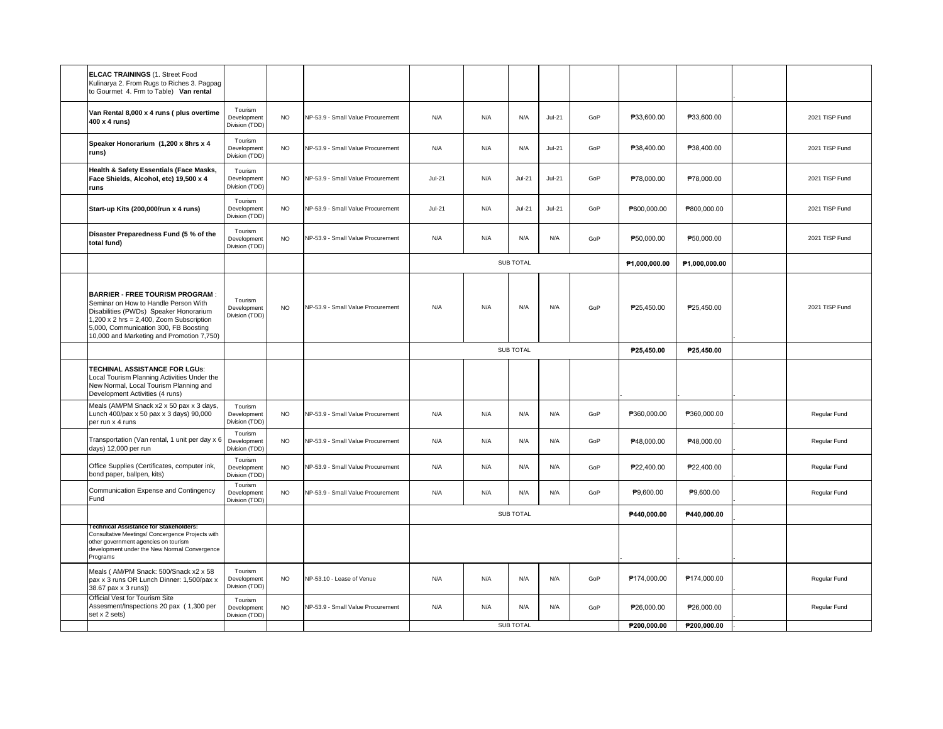| <b>ELCAC TRAININGS (1. Street Food</b><br>Kulinarya 2. From Rugs to Riches 3. Pagpag<br>to Gourmet 4. Frm to Table) Van rental                                                                                                                                   |                                          |           |                                   |                  |     |               |               |               |               |             |                |
|------------------------------------------------------------------------------------------------------------------------------------------------------------------------------------------------------------------------------------------------------------------|------------------------------------------|-----------|-----------------------------------|------------------|-----|---------------|---------------|---------------|---------------|-------------|----------------|
| Van Rental 8,000 x 4 runs (plus overtime<br>400 x 4 runs)                                                                                                                                                                                                        | Tourism<br>Development<br>Division (TDD) | <b>NO</b> | NP-53.9 - Small Value Procurement | N/A              | N/A | N/A           | $Jul-21$      | GoP           | P33,600.00    | P33,600.00  | 2021 TISP Fund |
| Speaker Honorarium (1,200 x 8hrs x 4<br>runs)                                                                                                                                                                                                                    | Tourism<br>Development<br>Division (TDD) | <b>NO</b> | NP-53.9 - Small Value Procurement | N/A              | N/A | N/A           | $Jul-21$      | GoP           | P38,400.00    | P38,400.00  | 2021 TISP Fund |
| Health & Safety Essentials (Face Masks,<br>Face Shields, Alcohol, etc) 19,500 x 4<br>runs                                                                                                                                                                        | Tourism<br>Development<br>Division (TDD) | <b>NO</b> | NP-53.9 - Small Value Procurement | $Jul-21$         | N/A | $Jul-21$      | $Jul-21$      | GoP           | P78,000.00    | P78,000.00  | 2021 TISP Fund |
| Start-up Kits (200,000/run x 4 runs)                                                                                                                                                                                                                             | Tourism<br>Development<br>Division (TDD) | <b>NO</b> | NP-53.9 - Small Value Procurement | <b>Jul-21</b>    | N/A | <b>Jul-21</b> | <b>Jul-21</b> | GoP           | P800,000.00   | P800,000.00 | 2021 TISP Fund |
| Disaster Preparedness Fund (5 % of the<br>total fund)                                                                                                                                                                                                            | Tourism<br>Development<br>Division (TDD) | <b>NO</b> | NP-53.9 - Small Value Procurement | N/A              | N/A | N/A           | N/A           | GoP           | P50,000.00    | P50,000.00  | 2021 TISP Fund |
|                                                                                                                                                                                                                                                                  |                                          |           |                                   | SUB TOTAL        |     |               |               | P1,000,000.00 | P1,000,000.00 |             |                |
| <b>BARRIER - FREE TOURISM PROGRAM</b><br>Seminar on How to Handle Person With<br>Disabilities (PWDs) Speaker Honorarium<br>$1,200 \times 2$ hrs = 2,400, Zoom Subscription<br>5,000, Communication 300, FB Boosting<br>10,000 and Marketing and Promotion 7,750) | Tourism<br>Development<br>Division (TDD) | <b>NO</b> | NP-53.9 - Small Value Procurement | N/A              | N/A | N/A           | N/A           | GoP           | P25.450.00    | P25.450.00  | 2021 TISP Fund |
|                                                                                                                                                                                                                                                                  |                                          |           |                                   | SUB TOTAL        |     |               |               |               | P25,450.00    | P25,450.00  |                |
| TECHINAL ASSISTANCE FOR LGUs:<br>Local Tourism Planning Activities Under the<br>New Normal, Local Tourism Planning and<br>Development Activities (4 runs)                                                                                                        |                                          |           |                                   |                  |     |               |               |               |               |             |                |
| Meals (AM/PM Snack x2 x 50 pax x 3 days,<br>Lunch 400/pax x 50 pax x 3 days) 90,000<br>per run x 4 runs                                                                                                                                                          | Tourism<br>Development<br>Division (TDD) | <b>NO</b> | NP-53.9 - Small Value Procurement | N/A              | N/A | N/A           | N/A           | GoP           | P360,000.00   | P360,000.00 | Regular Fund   |
| Transportation (Van rental, 1 unit per day x 6<br>days) 12,000 per run                                                                                                                                                                                           | Tourism<br>Development<br>Division (TDD) | <b>NO</b> | NP-53.9 - Small Value Procurement | N/A              | N/A | N/A           | N/A           | GoP           | P48,000.00    | P48,000.00  | Regular Fund   |
| Office Supplies (Certificates, computer ink,<br>bond paper, ballpen, kits)                                                                                                                                                                                       | Tourism<br>Development<br>Division (TDD) | <b>NO</b> | NP-53.9 - Small Value Procurement | N/A              | N/A | N/A           | N/A           | GoP           | P22,400.00    | P22,400.00  | Regular Fund   |
| Communication Expense and Contingency<br>Fund                                                                                                                                                                                                                    | Tourism<br>Development<br>Division (TDD) | <b>NO</b> | NP-53.9 - Small Value Procurement | N/A              | N/A | N/A           | N/A           | GoP           | P9,600.00     | P9,600.00   | Regular Fund   |
|                                                                                                                                                                                                                                                                  |                                          |           |                                   | <b>SUB TOTAL</b> |     |               |               | P440,000.00   | P440,000.00   |             |                |
| Technical Assistance for Stakeholders:<br>Consultative Meetings/ Concergence Projects with<br>other government agencies on tourism<br>development under the New Normal Convergence<br>Programs                                                                   |                                          |           |                                   |                  |     |               |               |               |               |             |                |
| Meals ( AM/PM Snack: 500/Snack x2 x 58<br>pax x 3 runs OR Lunch Dinner: 1,500/pax x<br>38.67 pax x 3 runs))                                                                                                                                                      | Tourism<br>Development<br>Division (TDD) | <b>NO</b> | NP-53.10 - Lease of Venue         | N/A              | N/A | N/A           | N/A           | GoP           | P174,000.00   | P174,000.00 | Regular Fund   |
| Official Vest for Tourism Site<br>Assesment/Inspections 20 pax (1,300 per<br>set x 2 sets)                                                                                                                                                                       | Tourism<br>Development<br>Division (TDD) | <b>NO</b> | NP-53.9 - Small Value Procurement | N/A              | N/A | N/A           | N/A           | GoP           | P26,000.00    | P26,000.00  | Regular Fund   |
|                                                                                                                                                                                                                                                                  |                                          |           |                                   | <b>SUB TOTAL</b> |     |               | P200.000.00   | P200,000.00   |               |             |                |